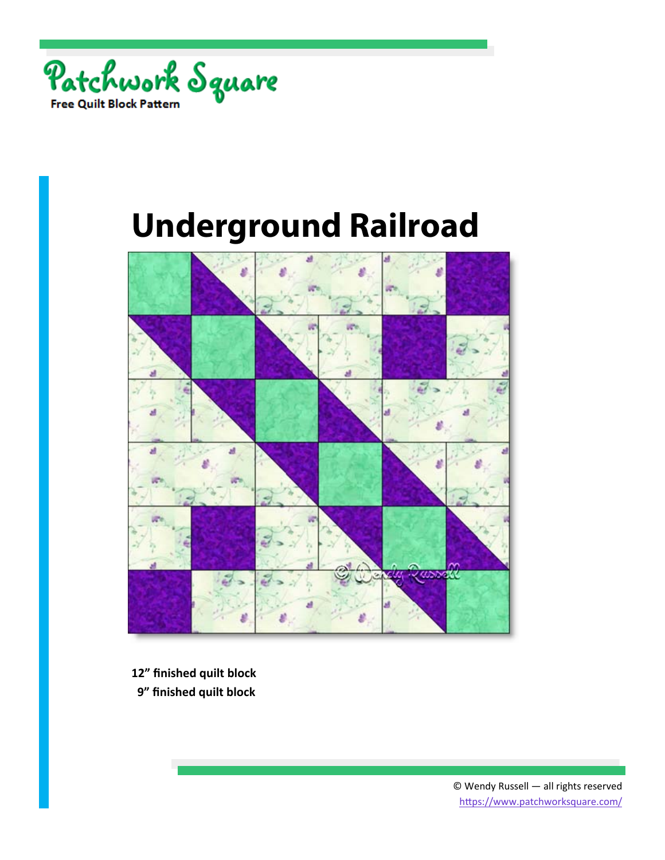



- **12" finished quilt block**
- **9" finished quilt block**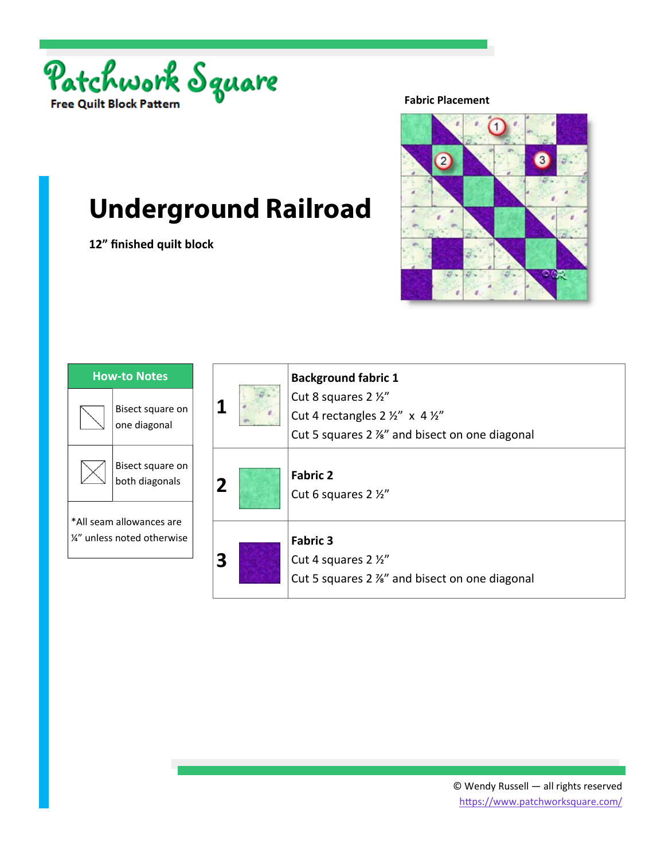

**12" finished quilt block** 

**Fabric Placement** 



| <b>How-to Notes</b>                                     |                                    |  |
|---------------------------------------------------------|------------------------------------|--|
|                                                         | Bisect square on<br>one diagonal   |  |
|                                                         | Bisect square on<br>both diagonals |  |
| *All seam allowances are<br>1/4" unless noted otherwise |                                    |  |

|   | <b>Background fabric 1</b><br>Cut 8 squares 2 1/2"<br>Cut 4 rectangles $2 \frac{1}{2}$ " x 4 $\frac{1}{2}$ "<br>Cut 5 squares 2 %" and bisect on one diagonal |
|---|---------------------------------------------------------------------------------------------------------------------------------------------------------------|
| 2 | <b>Fabric 2</b><br>Cut 6 squares 2 1/2"                                                                                                                       |
|   | <b>Fabric 3</b><br>Cut 4 squares 2 1/2"<br>Cut 5 squares 2 %" and bisect on one diagonal                                                                      |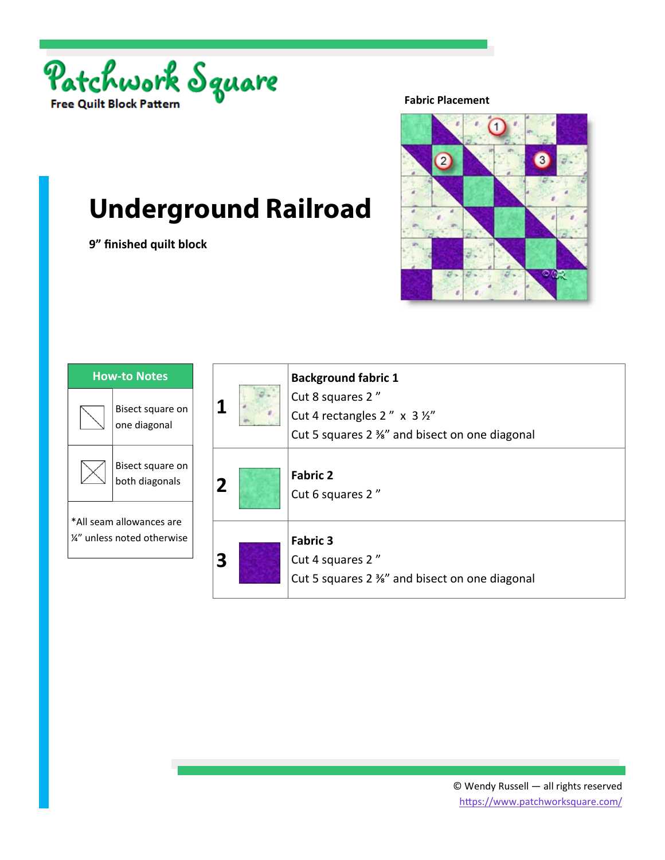

**9" finished quilt block** 

**Fabric Placement** 



| <b>How-to Notes</b>                                     |                                    |  |
|---------------------------------------------------------|------------------------------------|--|
|                                                         | Bisect square on<br>one diagonal   |  |
|                                                         | Bisect square on<br>both diagonals |  |
| *All seam allowances are<br>1/4" unless noted otherwise |                                    |  |

|  | <b>Background fabric 1</b><br>Cut 8 squares 2"<br>Cut 4 rectangles $2'' \times 3 \frac{1}{2}$<br>Cut 5 squares 2 %" and bisect on one diagonal |
|--|------------------------------------------------------------------------------------------------------------------------------------------------|
|  | <b>Fabric 2</b><br>Cut 6 squares 2"                                                                                                            |
|  | <b>Fabric 3</b><br>Cut 4 squares 2"<br>Cut 5 squares 2 %" and bisect on one diagonal                                                           |